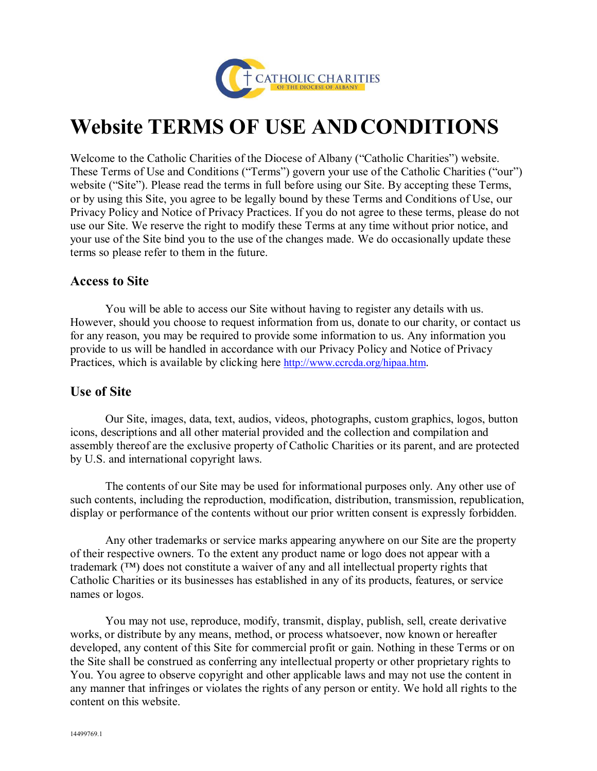

# **Website TERMS OF USE ANDCONDITIONS**

Welcome to the Catholic Charities of the Diocese of Albany ("Catholic Charities") website. These Terms of Use and Conditions ("Terms") govern your use of the Catholic Charities ("our") website ("Site"). Please read the terms in full before using our Site. By accepting these Terms, or by using this Site, you agree to be legally bound by these Terms and Conditions of Use, our Privacy Policy and Notice of Privacy Practices. If you do not agree to these terms, please do not use our Site. We reserve the right to modify these Terms at any time without prior notice, and your use of the Site bind you to the use of the changes made. We do occasionally update these terms so please refer to them in the future.

#### **Access to Site**

You will be able to access our Site without having to register any details with us. However, should you choose to request information from us, donate to our charity, or contact us for any reason, you may be required to provide some information to us. Any information you provide to us will be handled in accordance with our Privacy Policy and Notice of Privacy Practices, which is available by clicking here [http://www.ccrcda.org/hipaa.htm.](http://www.ccrcda.org/hipaa.htm)

### **Use of Site**

Our Site, images, data, text, audios, videos, photographs, custom graphics, logos, button icons, descriptions and all other material provided and the collection and compilation and assembly thereof are the exclusive property of Catholic Charities or its parent, and are protected by U.S. and international copyright laws.

The contents of our Site may be used for informational purposes only. Any other use of such contents, including the reproduction, modification, distribution, transmission, republication, display or performance of the contents without our prior written consent is expressly forbidden.

Any other trademarks or service marks appearing anywhere on our Site are the property of their respective owners. To the extent any product name or logo does not appear with a trademark (™) does not constitute a waiver of any and all intellectual property rights that Catholic Charities or its businesses has established in any of its products, features, or service names or logos.

You may not use, reproduce, modify, transmit, display, publish, sell, create derivative works, or distribute by any means, method, or process whatsoever, now known or hereafter developed, any content of this Site for commercial profit or gain. Nothing in these Terms or on the Site shall be construed as conferring any intellectual property or other proprietary rights to You. You agree to observe copyright and other applicable laws and may not use the content in any manner that infringes or violates the rights of any person or entity. We hold all rights to the content on this website.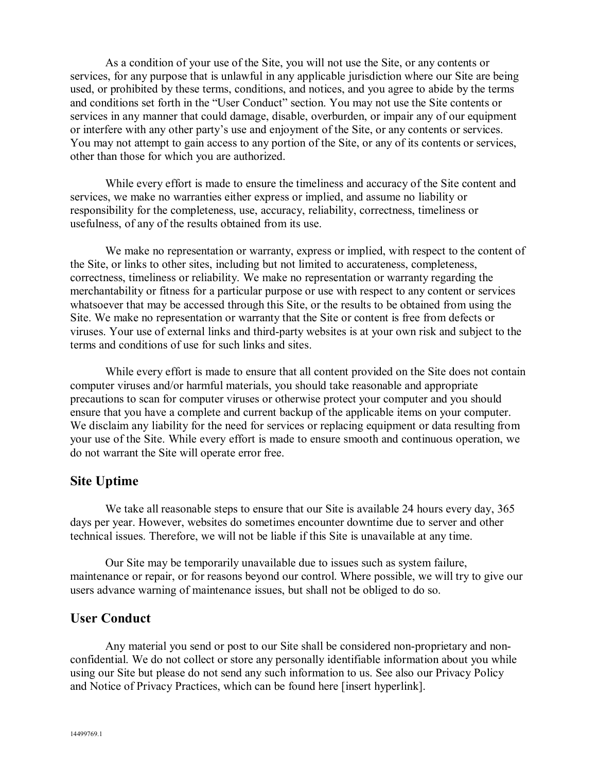As a condition of your use of the Site, you will not use the Site, or any contents or services, for any purpose that is unlawful in any applicable jurisdiction where our Site are being used, or prohibited by these terms, conditions, and notices, and you agree to abide by the terms and conditions set forth in the "User Conduct" section. You may not use the Site contents or services in any manner that could damage, disable, overburden, or impair any of our equipment or interfere with any other party's use and enjoyment of the Site, or any contents or services. You may not attempt to gain access to any portion of the Site, or any of its contents or services, other than those for which you are authorized.

While every effort is made to ensure the timeliness and accuracy of the Site content and services, we make no warranties either express or implied, and assume no liability or responsibility for the completeness, use, accuracy, reliability, correctness, timeliness or usefulness, of any of the results obtained from its use.

We make no representation or warranty, express or implied, with respect to the content of the Site, or links to other sites, including but not limited to accurateness, completeness, correctness, timeliness or reliability. We make no representation or warranty regarding the merchantability or fitness for a particular purpose or use with respect to any content or services whatsoever that may be accessed through this Site, or the results to be obtained from using the Site. We make no representation or warranty that the Site or content is free from defects or viruses. Your use of external links and third-party websites is at your own risk and subject to the terms and conditions of use for such links and sites.

While every effort is made to ensure that all content provided on the Site does not contain computer viruses and/or harmful materials, you should take reasonable and appropriate precautions to scan for computer viruses or otherwise protect your computer and you should ensure that you have a complete and current backup of the applicable items on your computer. We disclaim any liability for the need for services or replacing equipment or data resulting from your use of the Site. While every effort is made to ensure smooth and continuous operation, we do not warrant the Site will operate error free.

# **Site Uptime**

We take all reasonable steps to ensure that our Site is available 24 hours every day, 365 days per year. However, websites do sometimes encounter downtime due to server and other technical issues. Therefore, we will not be liable if this Site is unavailable at any time.

Our Site may be temporarily unavailable due to issues such as system failure, maintenance or repair, or for reasons beyond our control. Where possible, we will try to give our users advance warning of maintenance issues, but shall not be obliged to do so.

#### **User Conduct**

Any material you send or post to our Site shall be considered non-proprietary and nonconfidential. We do not collect or store any personally identifiable information about you while using our Site but please do not send any such information to us. See also our Privacy Policy and Notice of Privacy Practices, which can be found here [insert hyperlink].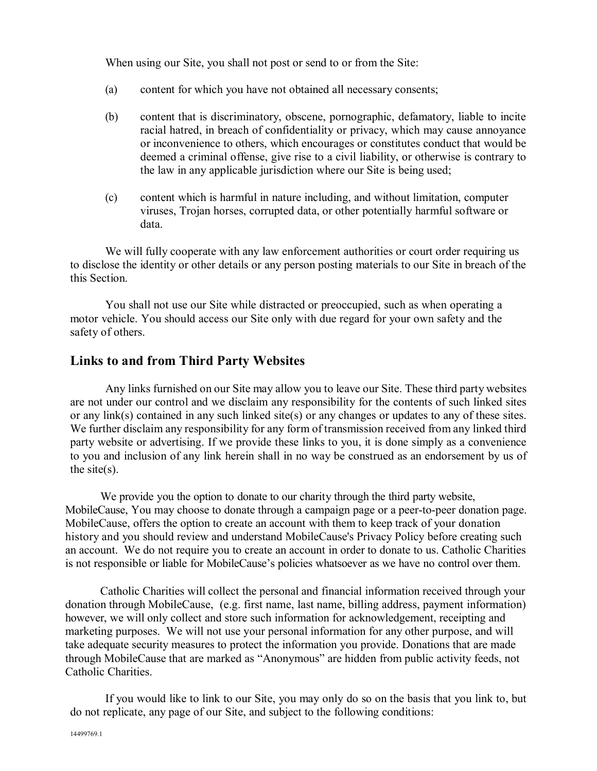When using our Site, you shall not post or send to or from the Site:

- (a) content for which you have not obtained all necessary consents;
- (b) content that is discriminatory, obscene, pornographic, defamatory, liable to incite racial hatred, in breach of confidentiality or privacy, which may cause annoyance or inconvenience to others, which encourages or constitutes conduct that would be deemed a criminal offense, give rise to a civil liability, or otherwise is contrary to the law in any applicable jurisdiction where our Site is being used;
- (c) content which is harmful in nature including, and without limitation, computer viruses, Trojan horses, corrupted data, or other potentially harmful software or data.

We will fully cooperate with any law enforcement authorities or court order requiring us to disclose the identity or other details or any person posting materials to our Site in breach of the this Section.

You shall not use our Site while distracted or preoccupied, such as when operating a motor vehicle. You should access our Site only with due regard for your own safety and the safety of others.

# **Links to and from Third Party Websites**

Any links furnished on our Site may allow you to leave our Site. These third party websites are not under our control and we disclaim any responsibility for the contents of such linked sites or any link(s) contained in any such linked site(s) or any changes or updates to any of these sites. We further disclaim any responsibility for any form of transmission received from any linked third party website or advertising. If we provide these links to you, it is done simply as a convenience to you and inclusion of any link herein shall in no way be construed as an endorsement by us of the site $(s)$ .

We provide you the option to donate to our charity through the third party website, MobileCause, You may choose to donate through a campaign page or a peer-to-peer donation page. MobileCause, offers the option to create an account with them to keep track of your donation history and you should review and understand MobileCause's Privacy Policy before creating such an account. We do not require you to create an account in order to donate to us. Catholic Charities is not responsible or liable for MobileCause's policies whatsoever as we have no control over them.

Catholic Charities will collect the personal and financial information received through your donation through MobileCause, (e.g. first name, last name, billing address, payment information) however, we will only collect and store such information for acknowledgement, receipting and marketing purposes. We will not use your personal information for any other purpose, and will take adequate security measures to protect the information you provide. Donations that are made through MobileCause that are marked as "Anonymous" are hidden from public activity feeds, not Catholic Charities.

If you would like to link to our Site, you may only do so on the basis that you link to, but do not replicate, any page of our Site, and subject to the following conditions: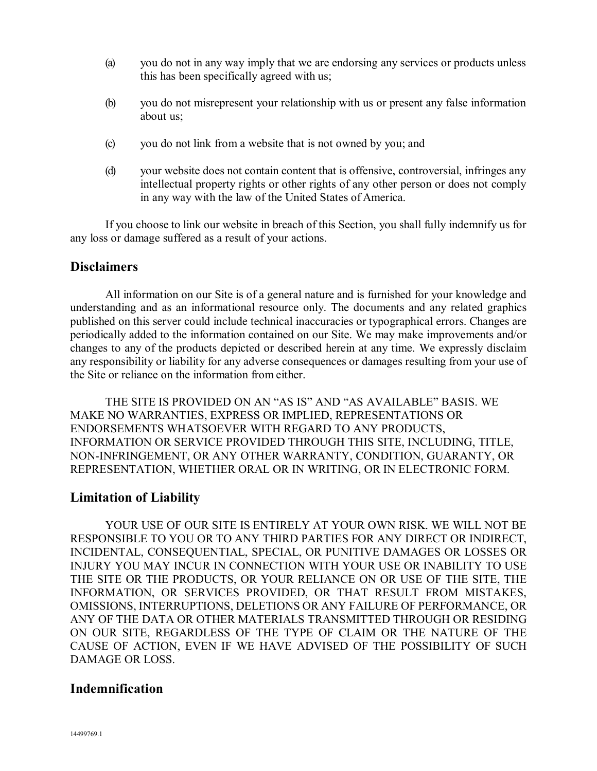- (a) you do not in any way imply that we are endorsing any services or products unless this has been specifically agreed with us;
- (b) you do not misrepresent your relationship with us or present any false information about us;
- (c) you do not link from a website that is not owned by you; and
- (d) your website does not contain content that is offensive, controversial, infringes any intellectual property rights or other rights of any other person or does not comply in any way with the law of the United States of America.

If you choose to link our website in breach of this Section, you shall fully indemnify us for any loss or damage suffered as a result of your actions.

#### **Disclaimers**

All information on our Site is of a general nature and is furnished for your knowledge and understanding and as an informational resource only. The documents and any related graphics published on this server could include technical inaccuracies or typographical errors. Changes are periodically added to the information contained on our Site. We may make improvements and/or changes to any of the products depicted or described herein at any time. We expressly disclaim any responsibility or liability for any adverse consequences or damages resulting from your use of the Site or reliance on the information from either.

THE SITE IS PROVIDED ON AN "AS IS" AND "AS AVAILABLE" BASIS. WE MAKE NO WARRANTIES, EXPRESS OR IMPLIED, REPRESENTATIONS OR ENDORSEMENTS WHATSOEVER WITH REGARD TO ANY PRODUCTS, INFORMATION OR SERVICE PROVIDED THROUGH THIS SITE, INCLUDING, TITLE, NON-INFRINGEMENT, OR ANY OTHER WARRANTY, CONDITION, GUARANTY, OR REPRESENTATION, WHETHER ORAL OR IN WRITING, OR IN ELECTRONIC FORM.

#### **Limitation of Liability**

YOUR USE OF OUR SITE IS ENTIRELY AT YOUR OWN RISK. WE WILL NOT BE RESPONSIBLE TO YOU OR TO ANY THIRD PARTIES FOR ANY DIRECT OR INDIRECT, INCIDENTAL, CONSEQUENTIAL, SPECIAL, OR PUNITIVE DAMAGES OR LOSSES OR INJURY YOU MAY INCUR IN CONNECTION WITH YOUR USE OR INABILITY TO USE THE SITE OR THE PRODUCTS, OR YOUR RELIANCE ON OR USE OF THE SITE, THE INFORMATION, OR SERVICES PROVIDED, OR THAT RESULT FROM MISTAKES, OMISSIONS, INTERRUPTIONS, DELETIONS OR ANY FAILURE OF PERFORMANCE, OR ANY OF THE DATA OR OTHER MATERIALS TRANSMITTED THROUGH OR RESIDING ON OUR SITE, REGARDLESS OF THE TYPE OF CLAIM OR THE NATURE OF THE CAUSE OF ACTION, EVEN IF WE HAVE ADVISED OF THE POSSIBILITY OF SUCH DAMAGE OR LOSS.

#### **Indemnification**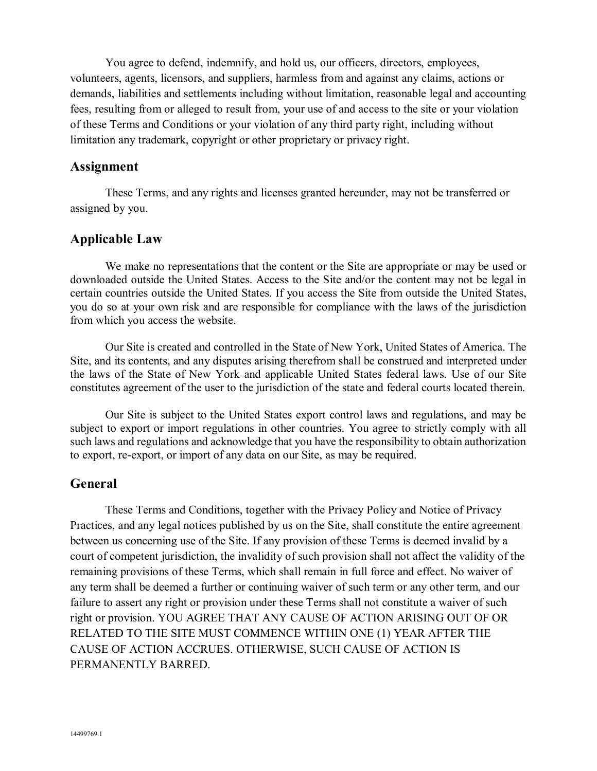You agree to defend, indemnify, and hold us, our officers, directors, employees, volunteers, agents, licensors, and suppliers, harmless from and against any claims, actions or demands, liabilities and settlements including without limitation, reasonable legal and accounting fees, resulting from or alleged to result from, your use of and access to the site or your violation of these Terms and Conditions or your violation of any third party right, including without limitation any trademark, copyright or other proprietary or privacy right.

#### **Assignment**

These Terms, and any rights and licenses granted hereunder, may not be transferred or assigned by you.

# **Applicable Law**

We make no representations that the content or the Site are appropriate or may be used or downloaded outside the United States. Access to the Site and/or the content may not be legal in certain countries outside the United States. If you access the Site from outside the United States, you do so at your own risk and are responsible for compliance with the laws of the jurisdiction from which you access the website.

Our Site is created and controlled in the State of New York, United States of America. The Site, and its contents, and any disputes arising therefrom shall be construed and interpreted under the laws of the State of New York and applicable United States federal laws. Use of our Site constitutes agreement of the user to the jurisdiction of the state and federal courts located therein.

Our Site is subject to the United States export control laws and regulations, and may be subject to export or import regulations in other countries. You agree to strictly comply with all such laws and regulations and acknowledge that you have the responsibility to obtain authorization to export, re-export, or import of any data on our Site, as may be required.

#### **General**

These Terms and Conditions, together with the Privacy Policy and Notice of Privacy Practices, and any legal notices published by us on the Site, shall constitute the entire agreement between us concerning use of the Site. If any provision of these Terms is deemed invalid by a court of competent jurisdiction, the invalidity of such provision shall not affect the validity of the remaining provisions of these Terms, which shall remain in full force and effect. No waiver of any term shall be deemed a further or continuing waiver of such term or any other term, and our failure to assert any right or provision under these Terms shall not constitute a waiver of such right or provision. YOU AGREE THAT ANY CAUSE OF ACTION ARISING OUT OF OR RELATED TO THE SITE MUST COMMENCE WITHIN ONE (1) YEAR AFTER THE CAUSE OF ACTION ACCRUES. OTHERWISE, SUCH CAUSE OF ACTION IS PERMANENTLY BARRED.